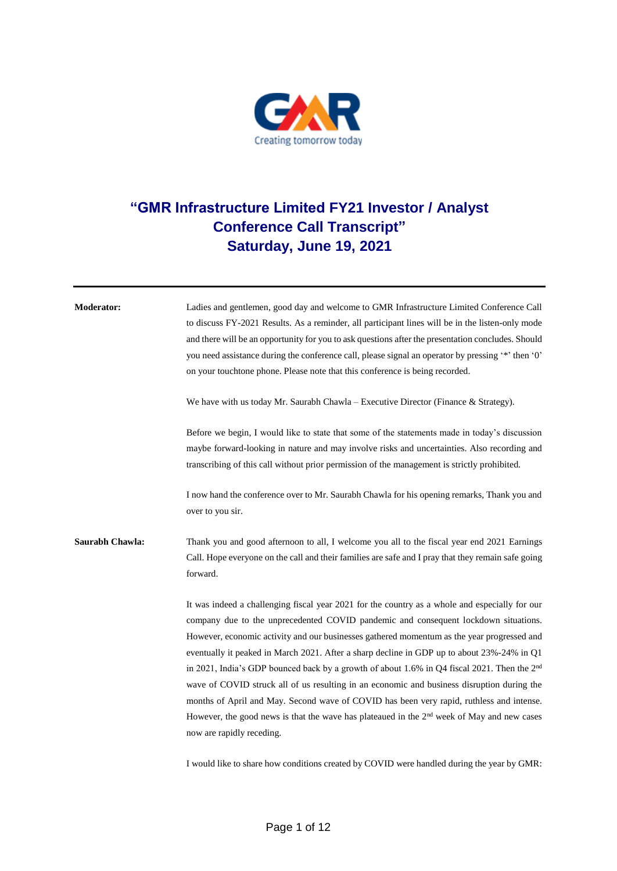

## **"GMR Infrastructure Limited FY21 Investor / Analyst Conference Call Transcript" Saturday, June 19, 2021**

| <b>Moderator:</b> | Ladies and gentlemen, good day and welcome to GMR Infrastructure Limited Conference Call                                                                                                              |
|-------------------|-------------------------------------------------------------------------------------------------------------------------------------------------------------------------------------------------------|
|                   | to discuss FY-2021 Results. As a reminder, all participant lines will be in the listen-only mode                                                                                                      |
|                   | and there will be an opportunity for you to ask questions after the presentation concludes. Should                                                                                                    |
|                   | you need assistance during the conference call, please signal an operator by pressing "*" then '0"                                                                                                    |
|                   | on your touchtone phone. Please note that this conference is being recorded.                                                                                                                          |
|                   | We have with us today Mr. Saurabh Chawla - Executive Director (Finance & Strategy).                                                                                                                   |
|                   | Before we begin, I would like to state that some of the statements made in today's discussion                                                                                                         |
|                   | maybe forward-looking in nature and may involve risks and uncertainties. Also recording and                                                                                                           |
|                   | transcribing of this call without prior permission of the management is strictly prohibited.                                                                                                          |
|                   | I now hand the conference over to Mr. Saurabh Chawla for his opening remarks, Thank you and<br>over to you sir.                                                                                       |
| Saurabh Chawla:   | Thank you and good afternoon to all, I welcome you all to the fiscal year end 2021 Earnings                                                                                                           |
|                   | Call. Hope everyone on the call and their families are safe and I pray that they remain safe going                                                                                                    |
|                   | forward.                                                                                                                                                                                              |
|                   | It was indeed a challenging fiscal year 2021 for the country as a whole and especially for our                                                                                                        |
|                   | company due to the unprecedented COVID pandemic and consequent lockdown situations.                                                                                                                   |
|                   | However, economic activity and our businesses gathered momentum as the year progressed and                                                                                                            |
|                   | eventually it peaked in March 2021. After a sharp decline in GDP up to about 23%-24% in Q1<br>in 2021, India's GDP bounced back by a growth of about 1.6% in Q4 fiscal 2021. Then the 2 <sup>nd</sup> |
|                   | wave of COVID struck all of us resulting in an economic and business disruption during the                                                                                                            |
|                   | months of April and May. Second wave of COVID has been very rapid, ruthless and intense.                                                                                                              |
|                   | However, the good news is that the wave has plateaued in the $2nd$ week of May and new cases                                                                                                          |
|                   | now are rapidly receding.                                                                                                                                                                             |
|                   | I would like to share how conditions created by COVID were handled during the year by GMR:                                                                                                            |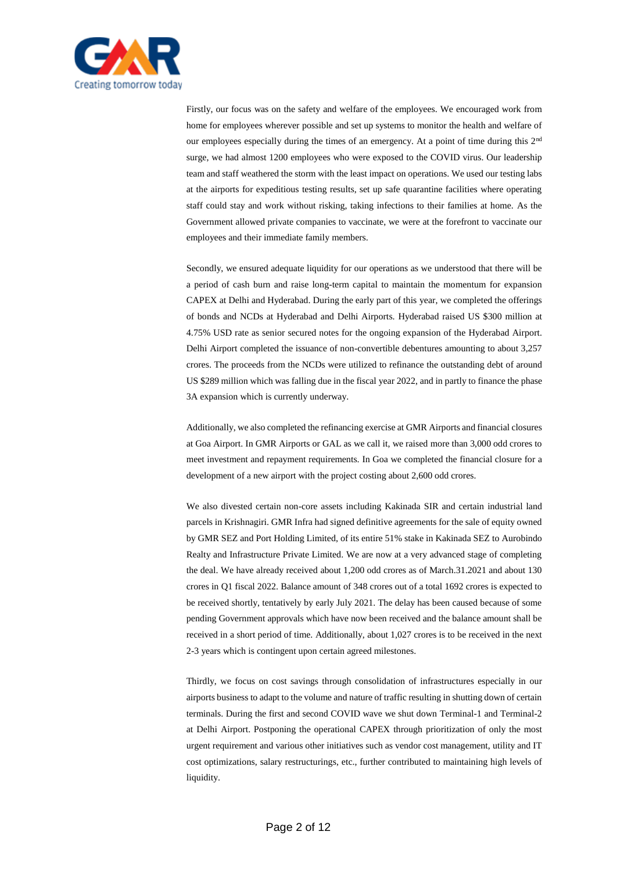

Firstly, our focus was on the safety and welfare of the employees. We encouraged work from home for employees wherever possible and set up systems to monitor the health and welfare of our employees especially during the times of an emergency. At a point of time during this 2nd surge, we had almost 1200 employees who were exposed to the COVID virus. Our leadership team and staff weathered the storm with the least impact on operations. We used our testing labs at the airports for expeditious testing results, set up safe quarantine facilities where operating staff could stay and work without risking, taking infections to their families at home. As the Government allowed private companies to vaccinate, we were at the forefront to vaccinate our employees and their immediate family members.

Secondly, we ensured adequate liquidity for our operations as we understood that there will be a period of cash burn and raise long-term capital to maintain the momentum for expansion CAPEX at Delhi and Hyderabad. During the early part of this year, we completed the offerings of bonds and NCDs at Hyderabad and Delhi Airports. Hyderabad raised US \$300 million at 4.75% USD rate as senior secured notes for the ongoing expansion of the Hyderabad Airport. Delhi Airport completed the issuance of non-convertible debentures amounting to about 3,257 crores. The proceeds from the NCDs were utilized to refinance the outstanding debt of around US \$289 million which was falling due in the fiscal year 2022, and in partly to finance the phase 3A expansion which is currently underway.

Additionally, we also completed the refinancing exercise at GMR Airports and financial closures at Goa Airport. In GMR Airports or GAL as we call it, we raised more than 3,000 odd crores to meet investment and repayment requirements. In Goa we completed the financial closure for a development of a new airport with the project costing about 2,600 odd crores.

We also divested certain non-core assets including Kakinada SIR and certain industrial land parcels in Krishnagiri. GMR Infra had signed definitive agreements for the sale of equity owned by GMR SEZ and Port Holding Limited, of its entire 51% stake in Kakinada SEZ to Aurobindo Realty and Infrastructure Private Limited. We are now at a very advanced stage of completing the deal. We have already received about 1,200 odd crores as of March.31.2021 and about 130 crores in Q1 fiscal 2022. Balance amount of 348 crores out of a total 1692 crores is expected to be received shortly, tentatively by early July 2021. The delay has been caused because of some pending Government approvals which have now been received and the balance amount shall be received in a short period of time. Additionally, about 1,027 crores is to be received in the next 2-3 years which is contingent upon certain agreed milestones.

Thirdly, we focus on cost savings through consolidation of infrastructures especially in our airports business to adapt to the volume and nature of traffic resulting in shutting down of certain terminals. During the first and second COVID wave we shut down Terminal-1 and Terminal-2 at Delhi Airport. Postponing the operational CAPEX through prioritization of only the most urgent requirement and various other initiatives such as vendor cost management, utility and IT cost optimizations, salary restructurings, etc., further contributed to maintaining high levels of liquidity.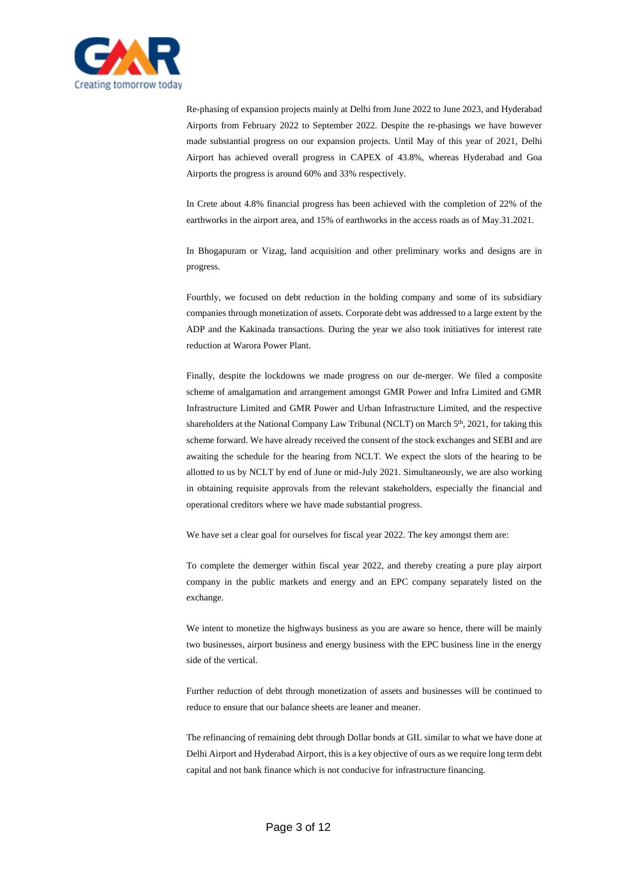

Re-phasing of expansion projects mainly at Delhi from June 2022 to June 2023, and Hyderabad Airports from February 2022 to September 2022. Despite the re-phasings we have however made substantial progress on our expansion projects. Until May of this year of 2021, Delhi Airport has achieved overall progress in CAPEX of 43.8%, whereas Hyderabad and Goa Airports the progress is around 60% and 33% respectively.

In Crete about 4.8% financial progress has been achieved with the completion of 22% of the earthworks in the airport area, and 15% of earthworks in the access roads as of May.31.2021.

In Bhogapuram or Vizag, land acquisition and other preliminary works and designs are in progress.

Fourthly, we focused on debt reduction in the holding company and some of its subsidiary companies through monetization of assets. Corporate debt was addressed to a large extent by the ADP and the Kakinada transactions. During the year we also took initiatives for interest rate reduction at Warora Power Plant.

Finally, despite the lockdowns we made progress on our de-merger. We filed a composite scheme of amalgamation and arrangement amongst GMR Power and Infra Limited and GMR Infrastructure Limited and GMR Power and Urban Infrastructure Limited, and the respective shareholders at the National Company Law Tribunal (NCLT) on March  $5<sup>th</sup>$ , 2021, for taking this scheme forward. We have already received the consent of the stock exchanges and SEBI and are awaiting the schedule for the hearing from NCLT. We expect the slots of the hearing to be allotted to us by NCLT by end of June or mid-July 2021. Simultaneously, we are also working in obtaining requisite approvals from the relevant stakeholders, especially the financial and operational creditors where we have made substantial progress.

We have set a clear goal for ourselves for fiscal year 2022. The key amongst them are:

To complete the demerger within fiscal year 2022, and thereby creating a pure play airport company in the public markets and energy and an EPC company separately listed on the exchange.

We intent to monetize the highways business as you are aware so hence, there will be mainly two businesses, airport business and energy business with the EPC business line in the energy side of the vertical.

Further reduction of debt through monetization of assets and businesses will be continued to reduce to ensure that our balance sheets are leaner and meaner.

The refinancing of remaining debt through Dollar bonds at GIL similar to what we have done at Delhi Airport and Hyderabad Airport, this is a key objective of ours as we require long term debt capital and not bank finance which is not conducive for infrastructure financing.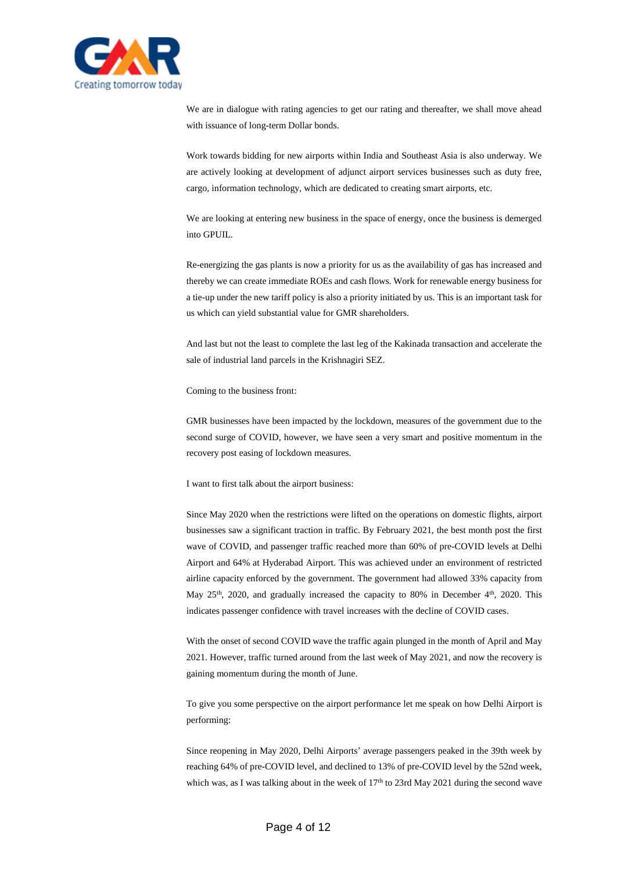

We are in dialogue with rating agencies to get our rating and thereafter, we shall move ahead with issuance of long-term Dollar bonds.

Work towards bidding for new airports within India and Southeast Asia is also underway. We are actively looking at development of adjunct airport services businesses such as duty free, cargo, information technology, which are dedicated to creating smart airports, etc.

We are looking at entering new business in the space of energy, once the business is demerged into GPUIL.

Re-energizing the gas plants is now a priority for us as the availability of gas has increased and thereby we can create immediate ROEs and cash flows. Work for renewable energy business for a tie-up under the new tariff policy is also a priority initiated by us. This is an important task for us which can yield substantial value for GMR shareholders.

And last but not the least to complete the last leg of the Kakinada transaction and accelerate the sale of industrial land parcels in the Krishnagiri SEZ.

Coming to the business front:

GMR businesses have been impacted by the lockdown, measures of the government due to the second surge of COVID, however, we have seen a very smart and positive momentum in the recovery post easing of lockdown measures.

I want to first talk about the airport business:

Since May 2020 when the restrictions were lifted on the operations on domestic flights, airport businesses saw a significant traction in traffic. By February 2021, the best month post the first wave of COVID, and passenger traffic reached more than 60% of pre-COVID levels at Delhi Airport and 64% at Hyderabad Airport. This was achieved under an environment of restricted airline capacity enforced by the government. The government had allowed 33% capacity from May 25<sup>th</sup>, 2020, and gradually increased the capacity to 80% in December 4<sup>th</sup>, 2020. This indicates passenger confidence with travel increases with the decline of COVID cases.

With the onset of second COVID wave the traffic again plunged in the month of April and May 2021. However, traffic turned around from the last week of May 2021, and now the recovery is gaining momentum during the month of June.

To give you some perspective on the airport performance let me speak on how Delhi Airport is performing:

Since reopening in May 2020, Delhi Airports' average passengers peaked in the 39th week by reaching 64% of pre-COVID level, and declined to 13% of pre-COVID level by the 52nd week, which was, as I was talking about in the week of  $17<sup>th</sup>$  to  $23rd$  May  $2021$  during the second wave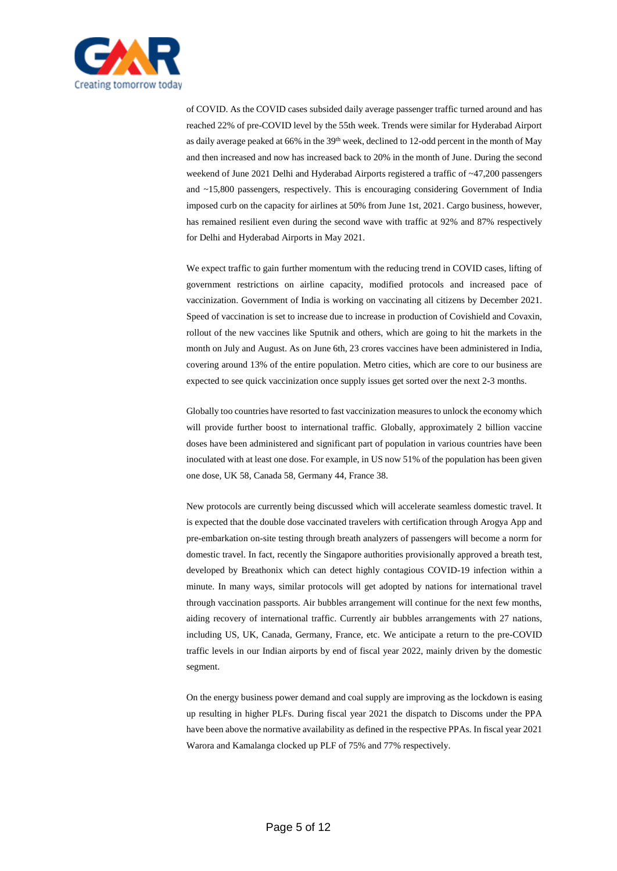

of COVID. As the COVID cases subsided daily average passenger traffic turned around and has reached 22% of pre-COVID level by the 55th week. Trends were similar for Hyderabad Airport as daily average peaked at 66% in the 39<sup>th</sup> week, declined to 12-odd percent in the month of May and then increased and now has increased back to 20% in the month of June. During the second weekend of June 2021 Delhi and Hyderabad Airports registered a traffic of ~47,200 passengers and ~15,800 passengers, respectively. This is encouraging considering Government of India imposed curb on the capacity for airlines at 50% from June 1st, 2021. Cargo business, however, has remained resilient even during the second wave with traffic at 92% and 87% respectively for Delhi and Hyderabad Airports in May 2021.

We expect traffic to gain further momentum with the reducing trend in COVID cases, lifting of government restrictions on airline capacity, modified protocols and increased pace of vaccinization. Government of India is working on vaccinating all citizens by December 2021. Speed of vaccination is set to increase due to increase in production of Covishield and Covaxin, rollout of the new vaccines like Sputnik and others, which are going to hit the markets in the month on July and August. As on June 6th, 23 crores vaccines have been administered in India, covering around 13% of the entire population. Metro cities, which are core to our business are expected to see quick vaccinization once supply issues get sorted over the next 2-3 months.

Globally too countries have resorted to fast vaccinization measures to unlock the economy which will provide further boost to international traffic. Globally, approximately 2 billion vaccine doses have been administered and significant part of population in various countries have been inoculated with at least one dose. For example, in US now 51% of the population has been given one dose, UK 58, Canada 58, Germany 44, France 38.

New protocols are currently being discussed which will accelerate seamless domestic travel. It is expected that the double dose vaccinated travelers with certification through Arogya App and pre-embarkation on-site testing through breath analyzers of passengers will become a norm for domestic travel. In fact, recently the Singapore authorities provisionally approved a breath test, developed by Breathonix which can detect highly contagious COVID-19 infection within a minute. In many ways, similar protocols will get adopted by nations for international travel through vaccination passports. Air bubbles arrangement will continue for the next few months, aiding recovery of international traffic. Currently air bubbles arrangements with 27 nations, including US, UK, Canada, Germany, France, etc. We anticipate a return to the pre-COVID traffic levels in our Indian airports by end of fiscal year 2022, mainly driven by the domestic segment.

On the energy business power demand and coal supply are improving as the lockdown is easing up resulting in higher PLFs. During fiscal year 2021 the dispatch to Discoms under the PPA have been above the normative availability as defined in the respective PPAs. In fiscal year 2021 Warora and Kamalanga clocked up PLF of 75% and 77% respectively.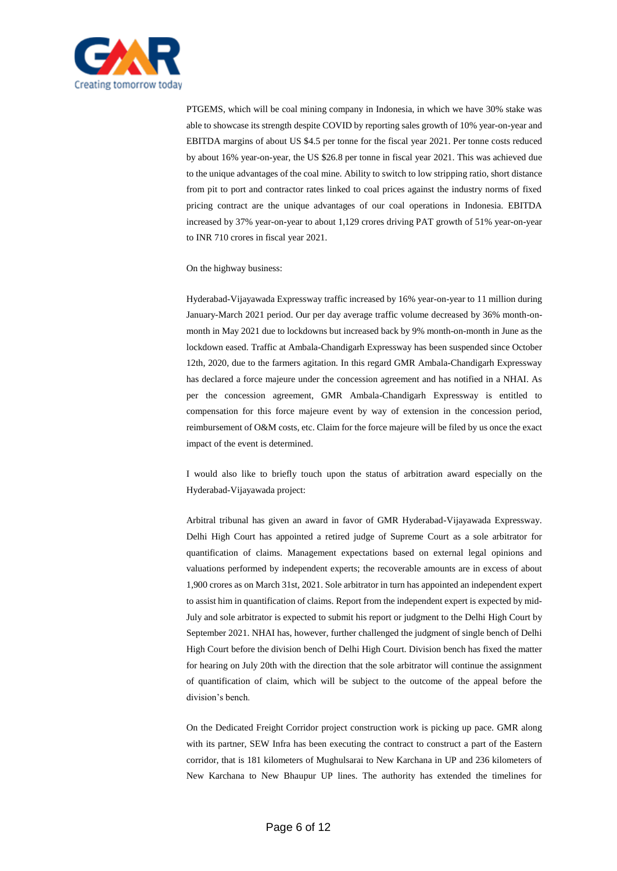

PTGEMS, which will be coal mining company in Indonesia, in which we have 30% stake was able to showcase its strength despite COVID by reporting sales growth of 10% year-on-year and EBITDA margins of about US \$4.5 per tonne for the fiscal year 2021. Per tonne costs reduced by about 16% year-on-year, the US \$26.8 per tonne in fiscal year 2021. This was achieved due to the unique advantages of the coal mine. Ability to switch to low stripping ratio, short distance from pit to port and contractor rates linked to coal prices against the industry norms of fixed pricing contract are the unique advantages of our coal operations in Indonesia. EBITDA increased by 37% year-on-year to about 1,129 crores driving PAT growth of 51% year-on-year to INR 710 crores in fiscal year 2021.

## On the highway business:

Hyderabad-Vijayawada Expressway traffic increased by 16% year-on-year to 11 million during January-March 2021 period. Our per day average traffic volume decreased by 36% month-onmonth in May 2021 due to lockdowns but increased back by 9% month-on-month in June as the lockdown eased. Traffic at Ambala-Chandigarh Expressway has been suspended since October 12th, 2020, due to the farmers agitation. In this regard GMR Ambala-Chandigarh Expressway has declared a force majeure under the concession agreement and has notified in a NHAI. As per the concession agreement, GMR Ambala-Chandigarh Expressway is entitled to compensation for this force majeure event by way of extension in the concession period, reimbursement of O&M costs, etc. Claim for the force majeure will be filed by us once the exact impact of the event is determined.

I would also like to briefly touch upon the status of arbitration award especially on the Hyderabad-Vijayawada project:

Arbitral tribunal has given an award in favor of GMR Hyderabad-Vijayawada Expressway. Delhi High Court has appointed a retired judge of Supreme Court as a sole arbitrator for quantification of claims. Management expectations based on external legal opinions and valuations performed by independent experts; the recoverable amounts are in excess of about 1,900 crores as on March 31st, 2021. Sole arbitrator in turn has appointed an independent expert to assist him in quantification of claims. Report from the independent expert is expected by mid-July and sole arbitrator is expected to submit his report or judgment to the Delhi High Court by September 2021. NHAI has, however, further challenged the judgment of single bench of Delhi High Court before the division bench of Delhi High Court. Division bench has fixed the matter for hearing on July 20th with the direction that the sole arbitrator will continue the assignment of quantification of claim, which will be subject to the outcome of the appeal before the division's bench.

On the Dedicated Freight Corridor project construction work is picking up pace. GMR along with its partner, SEW Infra has been executing the contract to construct a part of the Eastern corridor, that is 181 kilometers of Mughulsarai to New Karchana in UP and 236 kilometers of New Karchana to New Bhaupur UP lines. The authority has extended the timelines for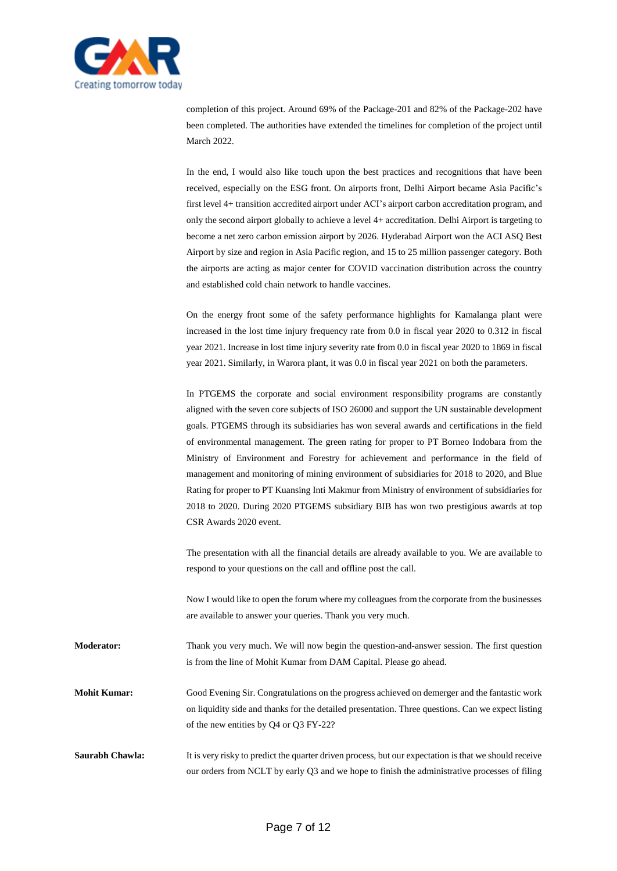

completion of this project. Around 69% of the Package-201 and 82% of the Package-202 have been completed. The authorities have extended the timelines for completion of the project until March 2022.

In the end, I would also like touch upon the best practices and recognitions that have been received, especially on the ESG front. On airports front, Delhi Airport became Asia Pacific's first level 4+ transition accredited airport under ACI's airport carbon accreditation program, and only the second airport globally to achieve a level 4+ accreditation. Delhi Airport is targeting to become a net zero carbon emission airport by 2026. Hyderabad Airport won the ACI ASQ Best Airport by size and region in Asia Pacific region, and 15 to 25 million passenger category. Both the airports are acting as major center for COVID vaccination distribution across the country and established cold chain network to handle vaccines.

On the energy front some of the safety performance highlights for Kamalanga plant were increased in the lost time injury frequency rate from 0.0 in fiscal year 2020 to 0.312 in fiscal year 2021. Increase in lost time injury severity rate from 0.0 in fiscal year 2020 to 1869 in fiscal year 2021. Similarly, in Warora plant, it was 0.0 in fiscal year 2021 on both the parameters.

In PTGEMS the corporate and social environment responsibility programs are constantly aligned with the seven core subjects of ISO 26000 and support the UN sustainable development goals. PTGEMS through its subsidiaries has won several awards and certifications in the field of environmental management. The green rating for proper to PT Borneo Indobara from the Ministry of Environment and Forestry for achievement and performance in the field of management and monitoring of mining environment of subsidiaries for 2018 to 2020, and Blue Rating for proper to PT Kuansing Inti Makmur from Ministry of environment of subsidiaries for 2018 to 2020. During 2020 PTGEMS subsidiary BIB has won two prestigious awards at top CSR Awards 2020 event.

The presentation with all the financial details are already available to you. We are available to respond to your questions on the call and offline post the call.

Now I would like to open the forum where my colleagues from the corporate from the businesses are available to answer your queries. Thank you very much.

**Moderator:** Thank you very much. We will now begin the question-and-answer session. The first question is from the line of Mohit Kumar from DAM Capital. Please go ahead.

**Mohit Kumar:** Good Evening Sir. Congratulations on the progress achieved on demerger and the fantastic work on liquidity side and thanks for the detailed presentation. Three questions. Can we expect listing of the new entities by Q4 or Q3 FY-22?

**Saurabh Chawla:** It is very risky to predict the quarter driven process, but our expectation is that we should receive our orders from NCLT by early Q3 and we hope to finish the administrative processes of filing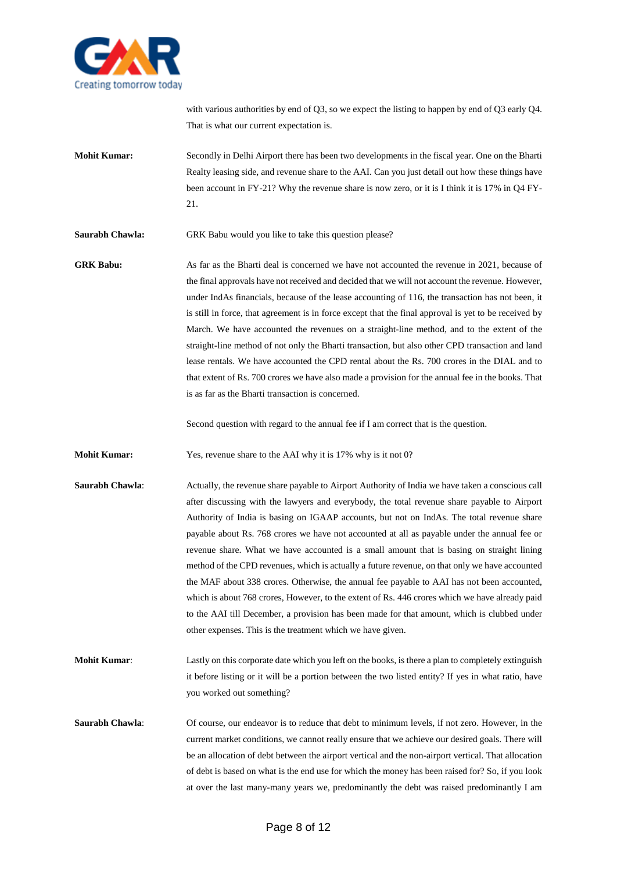

with various authorities by end of Q3, so we expect the listing to happen by end of Q3 early Q4. That is what our current expectation is.

**Mohit Kumar:** Secondly in Delhi Airport there has been two developments in the fiscal year. One on the Bharti Realty leasing side, and revenue share to the AAI. Can you just detail out how these things have been account in FY-21? Why the revenue share is now zero, or it is I think it is 17% in Q4 FY-21.

**Saurabh Chawla:** GRK Babu would you like to take this question please?

**GRK Babu:** As far as the Bharti deal is concerned we have not accounted the revenue in 2021, because of the final approvals have not received and decided that we will not account the revenue. However, under IndAs financials, because of the lease accounting of 116, the transaction has not been, it is still in force, that agreement is in force except that the final approval is yet to be received by March. We have accounted the revenues on a straight-line method, and to the extent of the straight-line method of not only the Bharti transaction, but also other CPD transaction and land lease rentals. We have accounted the CPD rental about the Rs. 700 crores in the DIAL and to that extent of Rs. 700 crores we have also made a provision for the annual fee in the books. That is as far as the Bharti transaction is concerned.

Second question with regard to the annual fee if I am correct that is the question.

**Mohit Kumar:** Yes, revenue share to the AAI why it is 17% why is it not 0?

**Saurabh Chawla:** Actually, the revenue share payable to Airport Authority of India we have taken a conscious call after discussing with the lawyers and everybody, the total revenue share payable to Airport Authority of India is basing on IGAAP accounts, but not on IndAs. The total revenue share payable about Rs. 768 crores we have not accounted at all as payable under the annual fee or revenue share. What we have accounted is a small amount that is basing on straight lining method of the CPD revenues, which is actually a future revenue, on that only we have accounted the MAF about 338 crores. Otherwise, the annual fee payable to AAI has not been accounted, which is about 768 crores, However, to the extent of Rs. 446 crores which we have already paid to the AAI till December, a provision has been made for that amount, which is clubbed under other expenses. This is the treatment which we have given.

**Mohit Kumar**: Lastly on this corporate date which you left on the books, is there a plan to completely extinguish it before listing or it will be a portion between the two listed entity? If yes in what ratio, have you worked out something?

**Saurabh Chawla:** Of course, our endeavor is to reduce that debt to minimum levels, if not zero. However, in the current market conditions, we cannot really ensure that we achieve our desired goals. There will be an allocation of debt between the airport vertical and the non-airport vertical. That allocation of debt is based on what is the end use for which the money has been raised for? So, if you look at over the last many-many years we, predominantly the debt was raised predominantly I am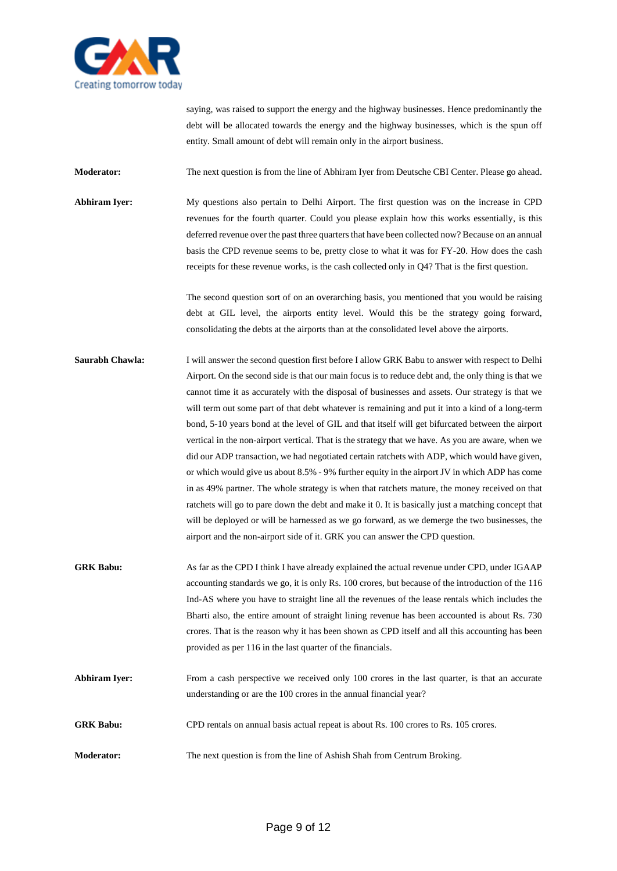

saying, was raised to support the energy and the highway businesses. Hence predominantly the debt will be allocated towards the energy and the highway businesses, which is the spun off entity. Small amount of debt will remain only in the airport business.

**Moderator:** The next question is from the line of Abhiram Iyer from Deutsche CBI Center. Please go ahead.

**Abhiram Iyer:** My questions also pertain to Delhi Airport. The first question was on the increase in CPD revenues for the fourth quarter. Could you please explain how this works essentially, is this deferred revenue over the past three quarters that have been collected now? Because on an annual basis the CPD revenue seems to be, pretty close to what it was for FY-20. How does the cash receipts for these revenue works, is the cash collected only in Q4? That is the first question.

> The second question sort of on an overarching basis, you mentioned that you would be raising debt at GIL level, the airports entity level. Would this be the strategy going forward, consolidating the debts at the airports than at the consolidated level above the airports.

- **Saurabh Chawla:** I will answer the second question first before I allow GRK Babu to answer with respect to Delhi Airport. On the second side is that our main focus is to reduce debt and, the only thing is that we cannot time it as accurately with the disposal of businesses and assets. Our strategy is that we will term out some part of that debt whatever is remaining and put it into a kind of a long-term bond, 5-10 years bond at the level of GIL and that itself will get bifurcated between the airport vertical in the non-airport vertical. That is the strategy that we have. As you are aware, when we did our ADP transaction, we had negotiated certain ratchets with ADP, which would have given, or which would give us about 8.5% - 9% further equity in the airport JV in which ADP has come in as 49% partner. The whole strategy is when that ratchets mature, the money received on that ratchets will go to pare down the debt and make it 0. It is basically just a matching concept that will be deployed or will be harnessed as we go forward, as we demerge the two businesses, the airport and the non-airport side of it. GRK you can answer the CPD question.
- **GRK Babu:** As far as the CPD I think I have already explained the actual revenue under CPD, under IGAAP accounting standards we go, it is only Rs. 100 crores, but because of the introduction of the 116 Ind-AS where you have to straight line all the revenues of the lease rentals which includes the Bharti also, the entire amount of straight lining revenue has been accounted is about Rs. 730 crores. That is the reason why it has been shown as CPD itself and all this accounting has been provided as per 116 in the last quarter of the financials.
- **Abhiram Iyer:** From a cash perspective we received only 100 crores in the last quarter, is that an accurate understanding or are the 100 crores in the annual financial year?
- **GRK Babu:** CPD rentals on annual basis actual repeat is about Rs. 100 crores to Rs. 105 crores.
- **Moderator:** The next question is from the line of Ashish Shah from Centrum Broking.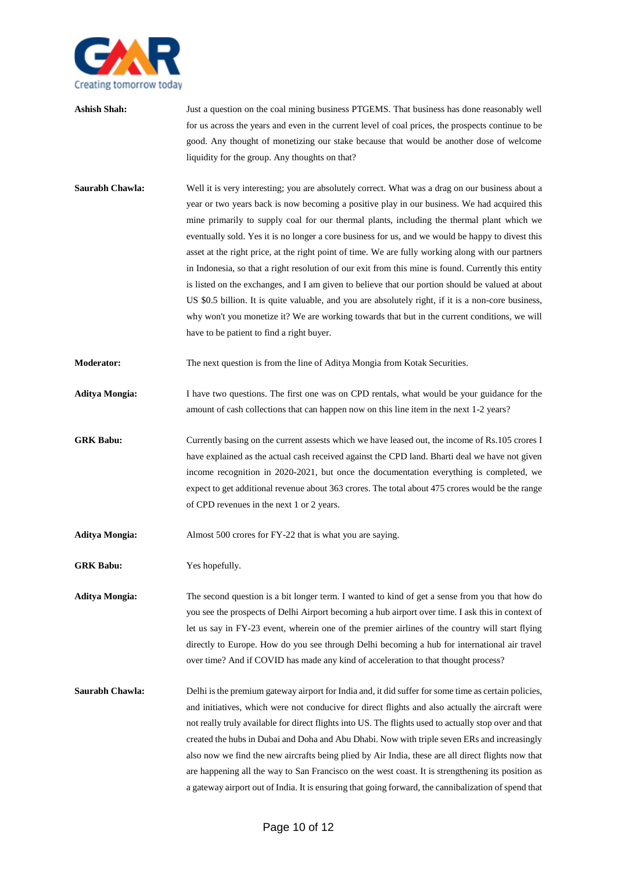

- **Ashish Shah:** Just a question on the coal mining business PTGEMS. That business has done reasonably well for us across the years and even in the current level of coal prices, the prospects continue to be good. Any thought of monetizing our stake because that would be another dose of welcome liquidity for the group. Any thoughts on that?
- **Saurabh Chawla:** Well it is very interesting; you are absolutely correct. What was a drag on our business about a year or two years back is now becoming a positive play in our business. We had acquired this mine primarily to supply coal for our thermal plants, including the thermal plant which we eventually sold. Yes it is no longer a core business for us, and we would be happy to divest this asset at the right price, at the right point of time. We are fully working along with our partners in Indonesia, so that a right resolution of our exit from this mine is found. Currently this entity is listed on the exchanges, and I am given to believe that our portion should be valued at about US \$0.5 billion. It is quite valuable, and you are absolutely right, if it is a non-core business, why won't you monetize it? We are working towards that but in the current conditions, we will have to be patient to find a right buyer.
- **Moderator:** The next question is from the line of Aditya Mongia from Kotak Securities.
- **Aditya Mongia:** I have two questions. The first one was on CPD rentals, what would be your guidance for the amount of cash collections that can happen now on this line item in the next 1-2 years?
- **GRK Babu:** Currently basing on the current assests which we have leased out, the income of Rs.105 crores I have explained as the actual cash received against the CPD land. Bharti deal we have not given income recognition in 2020-2021, but once the documentation everything is completed, we expect to get additional revenue about 363 crores. The total about 475 crores would be the range of CPD revenues in the next 1 or 2 years.
- **Aditya Mongia:** Almost 500 crores for FY-22 that is what you are saying.
- **GRK Babu:** Yes hopefully.

**Aditya Mongia:** The second question is a bit longer term. I wanted to kind of get a sense from you that how do you see the prospects of Delhi Airport becoming a hub airport over time. I ask this in context of let us say in FY-23 event, wherein one of the premier airlines of the country will start flying directly to Europe. How do you see through Delhi becoming a hub for international air travel over time? And if COVID has made any kind of acceleration to that thought process?

**Saurabh Chawla:** Delhi is the premium gateway airport for India and, it did suffer for some time as certain policies, and initiatives, which were not conducive for direct flights and also actually the aircraft were not really truly available for direct flights into US. The flights used to actually stop over and that created the hubs in Dubai and Doha and Abu Dhabi. Now with triple seven ERs and increasingly also now we find the new aircrafts being plied by Air India, these are all direct flights now that are happening all the way to San Francisco on the west coast. It is strengthening its position as a gateway airport out of India. It is ensuring that going forward, the cannibalization of spend that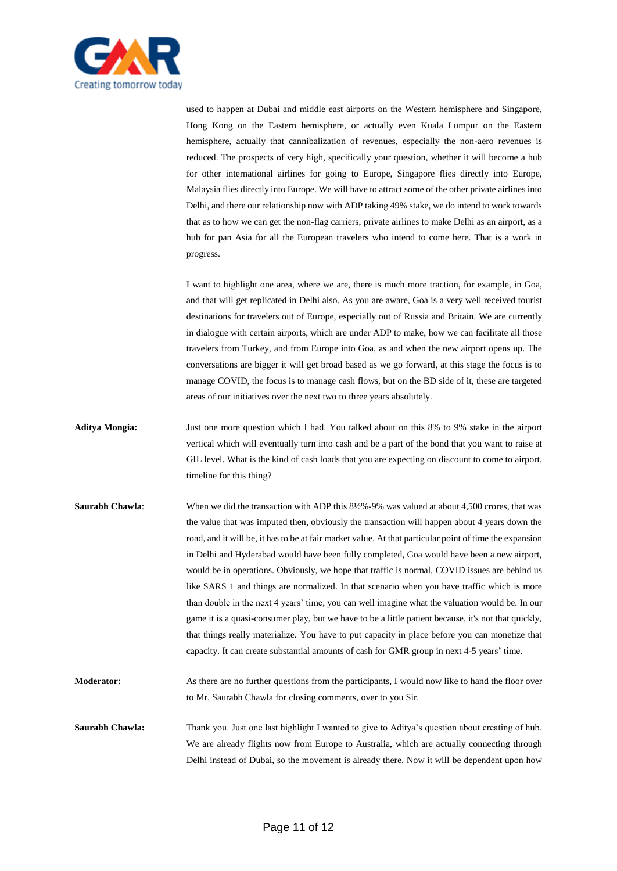

used to happen at Dubai and middle east airports on the Western hemisphere and Singapore, Hong Kong on the Eastern hemisphere, or actually even Kuala Lumpur on the Eastern hemisphere, actually that cannibalization of revenues, especially the non-aero revenues is reduced. The prospects of very high, specifically your question, whether it will become a hub for other international airlines for going to Europe, Singapore flies directly into Europe, Malaysia flies directly into Europe. We will have to attract some of the other private airlines into Delhi, and there our relationship now with ADP taking 49% stake, we do intend to work towards that as to how we can get the non-flag carriers, private airlines to make Delhi as an airport, as a hub for pan Asia for all the European travelers who intend to come here. That is a work in progress.

I want to highlight one area, where we are, there is much more traction, for example, in Goa, and that will get replicated in Delhi also. As you are aware, Goa is a very well received tourist destinations for travelers out of Europe, especially out of Russia and Britain. We are currently in dialogue with certain airports, which are under ADP to make, how we can facilitate all those travelers from Turkey, and from Europe into Goa, as and when the new airport opens up. The conversations are bigger it will get broad based as we go forward, at this stage the focus is to manage COVID, the focus is to manage cash flows, but on the BD side of it, these are targeted areas of our initiatives over the next two to three years absolutely.

- **Aditya Mongia:** Just one more question which I had. You talked about on this 8% to 9% stake in the airport vertical which will eventually turn into cash and be a part of the bond that you want to raise at GIL level. What is the kind of cash loads that you are expecting on discount to come to airport, timeline for this thing?
- **Saurabh Chawla:** When we did the transaction with ADP this 8½%-9% was valued at about 4,500 crores, that was the value that was imputed then, obviously the transaction will happen about 4 years down the road, and it will be, it has to be at fair market value. At that particular point of time the expansion in Delhi and Hyderabad would have been fully completed, Goa would have been a new airport, would be in operations. Obviously, we hope that traffic is normal, COVID issues are behind us like SARS 1 and things are normalized. In that scenario when you have traffic which is more than double in the next 4 years' time, you can well imagine what the valuation would be. In our game it is a quasi-consumer play, but we have to be a little patient because, it's not that quickly, that things really materialize. You have to put capacity in place before you can monetize that capacity. It can create substantial amounts of cash for GMR group in next 4-5 years' time. **Moderator:** As there are no further questions from the participants, I would now like to hand the floor over

**Saurabh Chawla:** Thank you. Just one last highlight I wanted to give to Aditya's question about creating of hub. We are already flights now from Europe to Australia, which are actually connecting through Delhi instead of Dubai, so the movement is already there. Now it will be dependent upon how

to Mr. Saurabh Chawla for closing comments, over to you Sir.